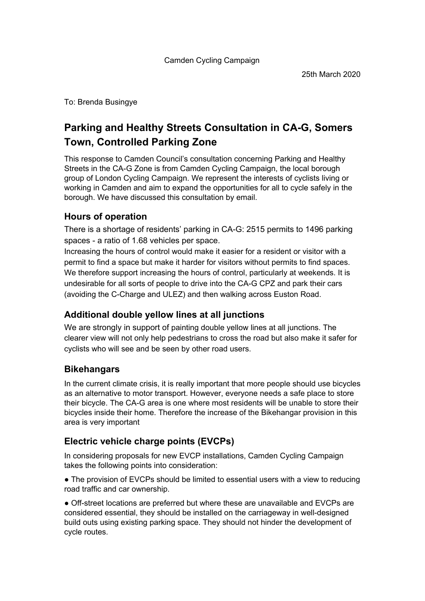To: Brenda Busingye

# **Parking and Healthy Streets Consultation in CA-G, Somers Town, Controlled Parking Zone**

This response to Camden Council's consultation concerning Parking and Healthy Streets in the CA-G Zone is from Camden Cycling Campaign, the local borough group of London Cycling Campaign. We represent the interests of cyclists living or working in Camden and aim to expand the opportunities for all to cycle safely in the borough. We have discussed this consultation by email.

### **Hours of operation**

There is a shortage of residents' parking in CA-G: 2515 permits to 1496 parking spaces - a ratio of 1.68 vehicles per space.

Increasing the hours of control would make it easier for a resident or visitor with a permit to find a space but make it harder for visitors without permits to find spaces. We therefore support increasing the hours of control, particularly at weekends. It is undesirable for all sorts of people to drive into the CA-G CPZ and park their cars (avoiding the C-Charge and ULEZ) and then walking across Euston Road.

## **Additional double yellow lines at all junctions**

We are strongly in support of painting double yellow lines at all junctions. The clearer view will not only help pedestrians to cross the road but also make it safer for cyclists who will see and be seen by other road users.

## **Bikehangars**

In the current climate crisis, it is really important that more people should use bicycles as an alternative to motor transport. However, everyone needs a safe place to store their bicycle. The CA-G area is one where most residents will be unable to store their bicycles inside their home. Therefore the increase of the Bikehangar provision in this area is very important

## **Electric vehicle charge points (EVCPs)**

In considering proposals for new EVCP installations, Camden Cycling Campaign takes the following points into consideration:

• The provision of EVCPs should be limited to essential users with a view to reducing road traffic and car ownership.

● Off-street locations are preferred but where these are unavailable and EVCPs are considered essential, they should be installed on the carriageway in well-designed build outs using existing parking space. They should not hinder the development of cycle routes.